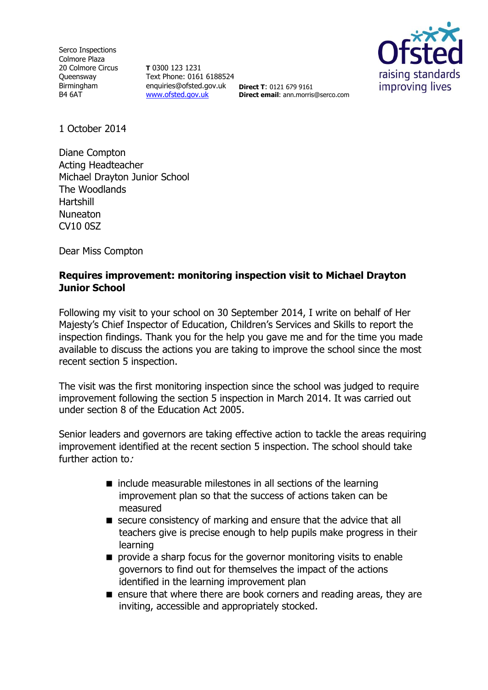Serco Inspections Colmore Plaza 20 Colmore Circus **Queensway** Birmingham B4 6AT

**T** 0300 123 1231 Text Phone: 0161 6188524 enquiries@ofsted.gov.uk **Direct T**: 0121 679 9161 [www.ofsted.gov.uk](http://www.ofsted.gov.uk/)



**Direct email**: ann.morris@serco.com

1 October 2014

Diane Compton Acting Headteacher Michael Drayton Junior School The Woodlands Hartshill Nuneaton CV10 0SZ

Dear Miss Compton

## **Requires improvement: monitoring inspection visit to Michael Drayton Junior School**

Following my visit to your school on 30 September 2014, I write on behalf of Her Majesty's Chief Inspector of Education, Children's Services and Skills to report the inspection findings. Thank you for the help you gave me and for the time you made available to discuss the actions you are taking to improve the school since the most recent section 5 inspection.

The visit was the first monitoring inspection since the school was judged to require improvement following the section 5 inspection in March 2014. It was carried out under section 8 of the Education Act 2005.

Senior leaders and governors are taking effective action to tackle the areas requiring improvement identified at the recent section 5 inspection. The school should take further action to:

- $\blacksquare$  include measurable milestones in all sections of the learning improvement plan so that the success of actions taken can be measured
- secure consistency of marking and ensure that the advice that all teachers give is precise enough to help pupils make progress in their learning
- **P** provide a sharp focus for the governor monitoring visits to enable governors to find out for themselves the impact of the actions identified in the learning improvement plan
- **E** ensure that where there are book corners and reading areas, they are inviting, accessible and appropriately stocked.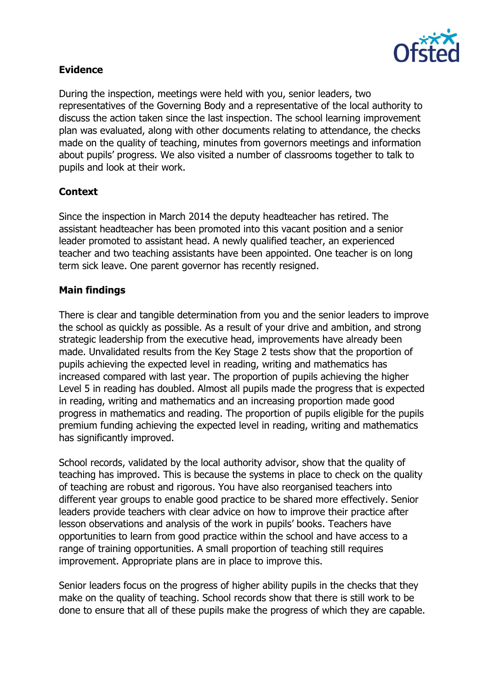

# **Evidence**

During the inspection, meetings were held with you, senior leaders, two representatives of the Governing Body and a representative of the local authority to discuss the action taken since the last inspection. The school learning improvement plan was evaluated, along with other documents relating to attendance, the checks made on the quality of teaching, minutes from governors meetings and information about pupils' progress. We also visited a number of classrooms together to talk to pupils and look at their work.

# **Context**

Since the inspection in March 2014 the deputy headteacher has retired. The assistant headteacher has been promoted into this vacant position and a senior leader promoted to assistant head. A newly qualified teacher, an experienced teacher and two teaching assistants have been appointed. One teacher is on long term sick leave. One parent governor has recently resigned.

### **Main findings**

There is clear and tangible determination from you and the senior leaders to improve the school as quickly as possible. As a result of your drive and ambition, and strong strategic leadership from the executive head, improvements have already been made. Unvalidated results from the Key Stage 2 tests show that the proportion of pupils achieving the expected level in reading, writing and mathematics has increased compared with last year. The proportion of pupils achieving the higher Level 5 in reading has doubled. Almost all pupils made the progress that is expected in reading, writing and mathematics and an increasing proportion made good progress in mathematics and reading. The proportion of pupils eligible for the pupils premium funding achieving the expected level in reading, writing and mathematics has significantly improved.

School records, validated by the local authority advisor, show that the quality of teaching has improved. This is because the systems in place to check on the quality of teaching are robust and rigorous. You have also reorganised teachers into different year groups to enable good practice to be shared more effectively. Senior leaders provide teachers with clear advice on how to improve their practice after lesson observations and analysis of the work in pupils' books. Teachers have opportunities to learn from good practice within the school and have access to a range of training opportunities. A small proportion of teaching still requires improvement. Appropriate plans are in place to improve this.

Senior leaders focus on the progress of higher ability pupils in the checks that they make on the quality of teaching. School records show that there is still work to be done to ensure that all of these pupils make the progress of which they are capable.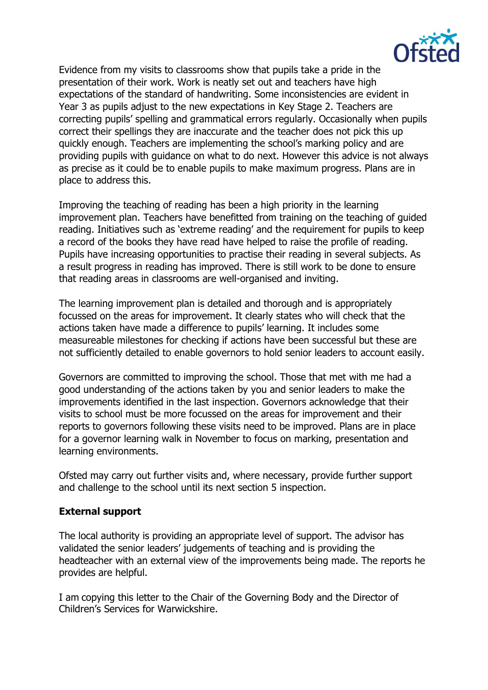

Evidence from my visits to classrooms show that pupils take a pride in the presentation of their work. Work is neatly set out and teachers have high expectations of the standard of handwriting. Some inconsistencies are evident in Year 3 as pupils adjust to the new expectations in Key Stage 2. Teachers are correcting pupils' spelling and grammatical errors regularly. Occasionally when pupils correct their spellings they are inaccurate and the teacher does not pick this up quickly enough. Teachers are implementing the school's marking policy and are providing pupils with guidance on what to do next. However this advice is not always as precise as it could be to enable pupils to make maximum progress. Plans are in place to address this.

Improving the teaching of reading has been a high priority in the learning improvement plan. Teachers have benefitted from training on the teaching of guided reading. Initiatives such as 'extreme reading' and the requirement for pupils to keep a record of the books they have read have helped to raise the profile of reading. Pupils have increasing opportunities to practise their reading in several subjects. As a result progress in reading has improved. There is still work to be done to ensure that reading areas in classrooms are well-organised and inviting.

The learning improvement plan is detailed and thorough and is appropriately focussed on the areas for improvement. It clearly states who will check that the actions taken have made a difference to pupils' learning. It includes some measureable milestones for checking if actions have been successful but these are not sufficiently detailed to enable governors to hold senior leaders to account easily.

Governors are committed to improving the school. Those that met with me had a good understanding of the actions taken by you and senior leaders to make the improvements identified in the last inspection. Governors acknowledge that their visits to school must be more focussed on the areas for improvement and their reports to governors following these visits need to be improved. Plans are in place for a governor learning walk in November to focus on marking, presentation and learning environments.

Ofsted may carry out further visits and, where necessary, provide further support and challenge to the school until its next section 5 inspection.

### **External support**

The local authority is providing an appropriate level of support. The advisor has validated the senior leaders' judgements of teaching and is providing the headteacher with an external view of the improvements being made. The reports he provides are helpful.

I am copying this letter to the Chair of the Governing Body and the Director of Children's Services for Warwickshire.